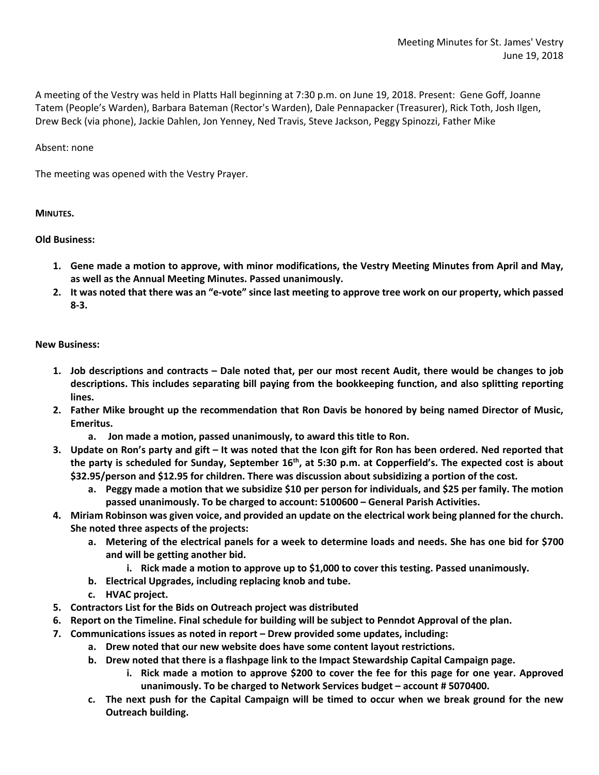A meeting of the Vestry was held in Platts Hall beginning at 7:30 p.m. on June 19, 2018. Present: Gene Goff, Joanne Tatem (People's Warden), Barbara Bateman (Rector's Warden), Dale Pennapacker (Treasurer), Rick Toth, Josh Ilgen, Drew Beck (via phone), Jackie Dahlen, Jon Yenney, Ned Travis, Steve Jackson, Peggy Spinozzi, Father Mike

## Absent: none

The meeting was opened with the Vestry Prayer.

## **MINUTES.**

## **Old Business:**

- **1. Gene made a motion to approve, with minor modifications, the Vestry Meeting Minutes from April and May, as well as the Annual Meeting Minutes. Passed unanimously.**
- **2. It was noted that there was an "e-vote" since last meeting to approve tree work on our property, which passed 8-3.**

## **New Business:**

- **1. Job descriptions and contracts – Dale noted that, per our most recent Audit, there would be changes to job descriptions. This includes separating bill paying from the bookkeeping function, and also splitting reporting lines.**
- **2. Father Mike brought up the recommendation that Ron Davis be honored by being named Director of Music, Emeritus.**
	- **a. Jon made a motion, passed unanimously, to award this title to Ron.**
- **3. Update on Ron's party and gift – It was noted that the Icon gift for Ron has been ordered. Ned reported that**  the party is scheduled for Sunday, September 16<sup>th</sup>, at 5:30 p.m. at Copperfield's. The expected cost is about **\$32.95/person and \$12.95 for children. There was discussion about subsidizing a portion of the cost.** 
	- **a. Peggy made a motion that we subsidize \$10 per person for individuals, and \$25 per family. The motion passed unanimously. To be charged to account: 5100600 – General Parish Activities.**
- **4. Miriam Robinson was given voice, and provided an update on the electrical work being planned for the church. She noted three aspects of the projects:**
	- **a. Metering of the electrical panels for a week to determine loads and needs. She has one bid for \$700 and will be getting another bid.**
		- **i. Rick made a motion to approve up to \$1,000 to cover this testing. Passed unanimously.**
	- **b. Electrical Upgrades, including replacing knob and tube.**
	- **c. HVAC project.**
- **5. Contractors List for the Bids on Outreach project was distributed**
- **6. Report on the Timeline. Final schedule for building will be subject to Penndot Approval of the plan.**
- **7. Communications issues as noted in report – Drew provided some updates, including:**
	- **a. Drew noted that our new website does have some content layout restrictions.**
	- **b. Drew noted that there is a flashpage link to the Impact Stewardship Capital Campaign page.** 
		- **i. Rick made a motion to approve \$200 to cover the fee for this page for one year. Approved unanimously. To be charged to Network Services budget – account # 5070400.**
	- **c. The next push for the Capital Campaign will be timed to occur when we break ground for the new Outreach building.**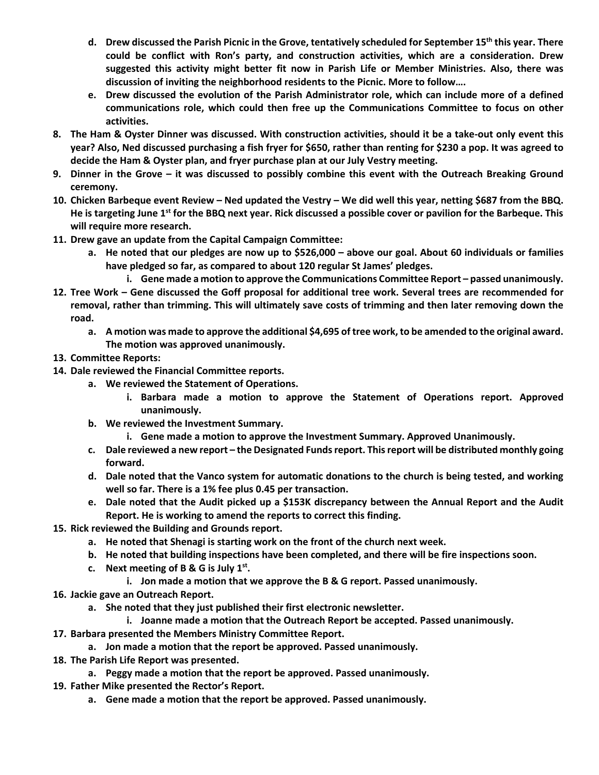- **d. Drew discussed the Parish Picnic in the Grove, tentatively scheduled for September 15th this year. There could be conflict with Ron's party, and construction activities, which are a consideration. Drew suggested this activity might better fit now in Parish Life or Member Ministries. Also, there was discussion of inviting the neighborhood residents to the Picnic. More to follow….**
- **e. Drew discussed the evolution of the Parish Administrator role, which can include more of a defined communications role, which could then free up the Communications Committee to focus on other activities.**
- **8. The Ham & Oyster Dinner was discussed. With construction activities, should it be a take-out only event this year? Also, Ned discussed purchasing a fish fryer for \$650, rather than renting for \$230 a pop. It was agreed to decide the Ham & Oyster plan, and fryer purchase plan at our July Vestry meeting.**
- **9. Dinner in the Grove – it was discussed to possibly combine this event with the Outreach Breaking Ground ceremony.**
- **10. Chicken Barbeque event Review – Ned updated the Vestry – We did well this year, netting \$687 from the BBQ. He is targeting June 1st for the BBQ next year. Rick discussed a possible cover or pavilion for the Barbeque. This will require more research.**
- **11. Drew gave an update from the Capital Campaign Committee:**
	- **a. He noted that our pledges are now up to \$526,000 – above our goal. About 60 individuals or families have pledged so far, as compared to about 120 regular St James' pledges.**
		- **i. Gene made a motion to approve the Communications Committee Report – passed unanimously.**
- **12. Tree Work – Gene discussed the Goff proposal for additional tree work. Several trees are recommended for removal, rather than trimming. This will ultimately save costs of trimming and then later removing down the road.**
	- **a. A motion was made to approve the additional \$4,695 of tree work, to be amended to the original award. The motion was approved unanimously.**
- **13. Committee Reports:**
- **14. Dale reviewed the Financial Committee reports.**
	- **a. We reviewed the Statement of Operations.**
		- **i. Barbara made a motion to approve the Statement of Operations report. Approved unanimously.**
	- **b. We reviewed the Investment Summary.**
		- **i. Gene made a motion to approve the Investment Summary. Approved Unanimously.**
	- **c. Dale reviewed a new report – the Designated Funds report. This report will be distributed monthly going forward.**
	- **d. Dale noted that the Vanco system for automatic donations to the church is being tested, and working well so far. There is a 1% fee plus 0.45 per transaction.**
	- **e. Dale noted that the Audit picked up a \$153K discrepancy between the Annual Report and the Audit Report. He is working to amend the reports to correct this finding.**
- **15. Rick reviewed the Building and Grounds report.**
	- **a. He noted that Shenagi is starting work on the front of the church next week.**
	- **b. He noted that building inspections have been completed, and there will be fire inspections soon.**
	- **c. Next meeting of B & G is July 1st.**
		- **i. Jon made a motion that we approve the B & G report. Passed unanimously.**
- **16. Jackie gave an Outreach Report.**
	- **a. She noted that they just published their first electronic newsletter.**
		- **i. Joanne made a motion that the Outreach Report be accepted. Passed unanimously.**
- **17. Barbara presented the Members Ministry Committee Report.**
	- **a. Jon made a motion that the report be approved. Passed unanimously.**
- **18. The Parish Life Report was presented.**
	- **a. Peggy made a motion that the report be approved. Passed unanimously.**
- **19. Father Mike presented the Rector's Report.**
	- **a. Gene made a motion that the report be approved. Passed unanimously.**